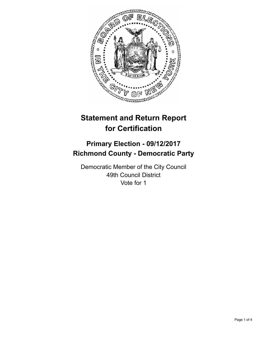

# **Statement and Return Report for Certification**

## **Primary Election - 09/12/2017 Richmond County - Democratic Party**

Democratic Member of the City Council 49th Council District Vote for 1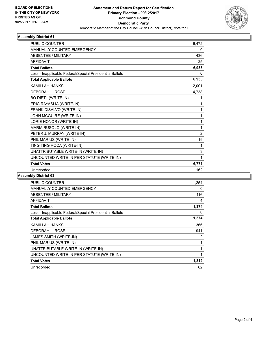

### **Assembly District 61**

| <b>PUBLIC COUNTER</b>                                    | 6,472          |
|----------------------------------------------------------|----------------|
| <b>MANUALLY COUNTED EMERGENCY</b>                        | 0              |
| <b>ABSENTEE / MILITARY</b>                               | 436            |
| <b>AFFIDAVIT</b>                                         | 25             |
| <b>Total Ballots</b>                                     | 6,933          |
| Less - Inapplicable Federal/Special Presidential Ballots | 0              |
| <b>Total Applicable Ballots</b>                          | 6,933          |
| <b>KAMILLAH HANKS</b>                                    | 2,001          |
| DEBORAH L. ROSE                                          | 4,738          |
| <b>BO DIETL (WRITE-IN)</b>                               | 1              |
| ERIC RAYASLIA (WRITE-IN)                                 | 1              |
| FRANK DISALVO (WRITE-IN)                                 | 1              |
| JOHN MCGUIRE (WRITE-IN)                                  | 1              |
| LORIE HONOR (WRITE-IN)                                   | 1              |
| MARIA RUSOLO (WRITE-IN)                                  | 1              |
| PETER J. MURRAY (WRITE-IN)                               | $\overline{2}$ |
| PHIL MARIUS (WRITE-IN)                                   | 19             |
| TING TING ROCA (WRITE-IN)                                | 1              |
| UNATTRIBUTABLE WRITE-IN (WRITE-IN)                       | 3              |
| UNCOUNTED WRITE-IN PER STATUTE (WRITE-IN)                | 1              |
| <b>Total Votes</b>                                       | 6,771          |
| Unrecorded                                               | 162            |
|                                                          |                |

### **Assembly District 63**

| <b>PUBLIC COUNTER</b>                                    | 1,254 |
|----------------------------------------------------------|-------|
| <b>MANUALLY COUNTED EMERGENCY</b>                        | 0     |
| ABSENTEE / MILITARY                                      | 116   |
| <b>AFFIDAVIT</b>                                         | 4     |
| <b>Total Ballots</b>                                     | 1,374 |
| Less - Inapplicable Federal/Special Presidential Ballots | 0     |
| <b>Total Applicable Ballots</b>                          | 1,374 |
| KAMILLAH HANKS                                           | 366   |
| DEBORAH L. ROSE                                          | 941   |
| JAMES SMITH (WRITE-IN)                                   | 2     |
| PHIL MARIUS (WRITE-IN)                                   | 1     |
| UNATTRIBUTABLE WRITE-IN (WRITE-IN)                       | 1     |
| UNCOUNTED WRITE-IN PER STATUTE (WRITE-IN)                | 1     |
| <b>Total Votes</b>                                       | 1,312 |
| Unrecorded                                               | 62    |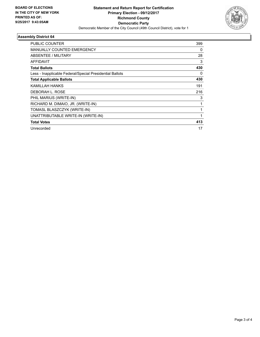

### **Assembly District 64**

| PUBLIC COUNTER                                           | 399 |
|----------------------------------------------------------|-----|
| MANUALLY COUNTED EMERGENCY                               | 0   |
| ABSENTEE / MILITARY                                      | 28  |
| <b>AFFIDAVIT</b>                                         | 3   |
| <b>Total Ballots</b>                                     | 430 |
| Less - Inapplicable Federal/Special Presidential Ballots | 0   |
| <b>Total Applicable Ballots</b>                          | 430 |
| KAMILLAH HANKS                                           | 191 |
| DEBORAH L. ROSE                                          | 216 |
| PHIL MARIUS (WRITE-IN)                                   | 3   |
| RICHARD M. DIMAIO, JR. (WRITE-IN)                        | 1   |
| TOMASL BLASZCZYK (WRITE-IN)                              | 1   |
| UNATTRIBUTABLE WRITE-IN (WRITE-IN)                       |     |
| <b>Total Votes</b>                                       | 413 |
| Unrecorded                                               | 17  |